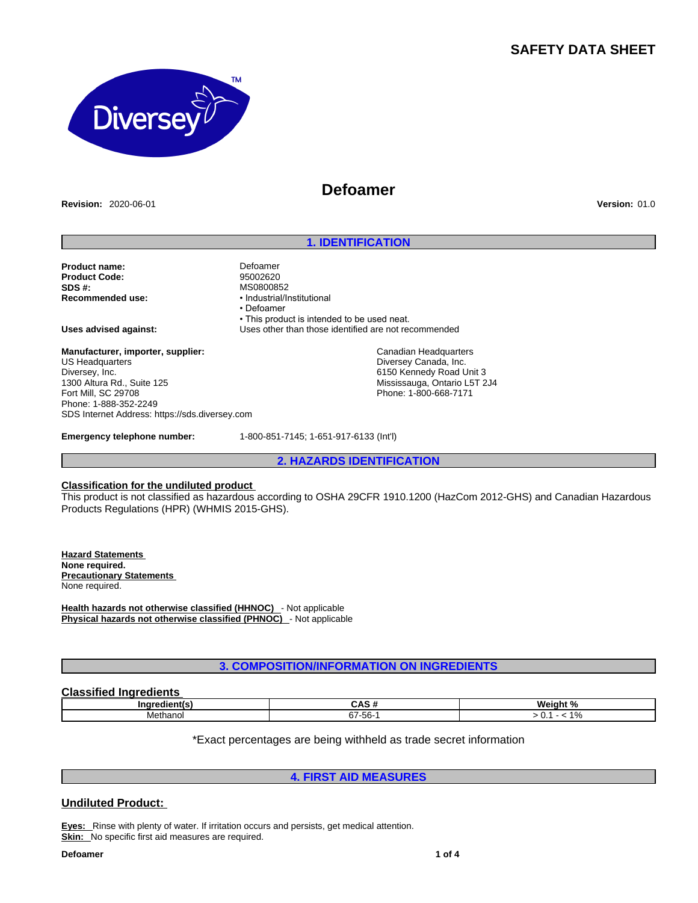# **SAFETY DATA SHEET**



**Revision:** 2020-06-01 **Version:** 01.0

# **Defoamer**

## **1. IDENTIFICATION**

**Product name:** Defoamer **Product Code:**<br>SDS # **SDS #:** MS0800852<br> **Recommended use:** MS0800852<br> **Recommended use:** Manustrial/Industrial/Industrial

**Recommended use:** • Industrial/Institutional • Defoamer • This product is intended to be used neat. **Uses advised against:** Uses other than those identified are not recommended

**Manufacturer, importer, supplier:** US Headquarters Diversey, Inc. 1300 Altura Rd., Suite 125 Fort Mill, SC 29708 Phone: 1-888-352-2249 SDS Internet Address: https://sds.diversey.com

Canadian Headquarters Diversey Canada, Inc. 6150 Kennedy Road Unit 3 Mississauga, Ontario L5T 2J4 Phone: 1-800-668-7171

**Emergency telephone number:** 1-800-851-7145; 1-651-917-6133 (Int'l)

**2. HAZARDS IDENTIFICATION**

#### **Classification for the undiluted product**

This product is not classified as hazardous according to OSHA 29CFR 1910.1200 (HazCom 2012-GHS) and Canadian Hazardous Products Regulations (HPR) (WHMIS 2015-GHS).

**Hazard Statements None required. Precautionary Statements**  None required.

**Health hazards not otherwise classified (HHNOC)** - Not applicable **Physical hazards not otherwise classified (PHNOC)** - Not applicable

**3. COMPOSITION/INFORMATION ON INGREDIENTS**

# **Classified Ingredients**

| ınr      | unu                                  | Weight<br>$\cdot$ $\cdot$<br>70 |  |  |  |
|----------|--------------------------------------|---------------------------------|--|--|--|
| Methanol | $\sim$<br>$\sqrt{2}$<br>7-56-<br>ו ט | $\sqrt{2}$<br>70                |  |  |  |

\*Exact percentages are being withheld as trade secret information

**4. FIRST AID MEASURES**

# **Undiluted Product:**

**Eyes:** Rinse with plenty of water. If irritation occurs and persists, get medical attention. **Skin:** No specific first aid measures are required.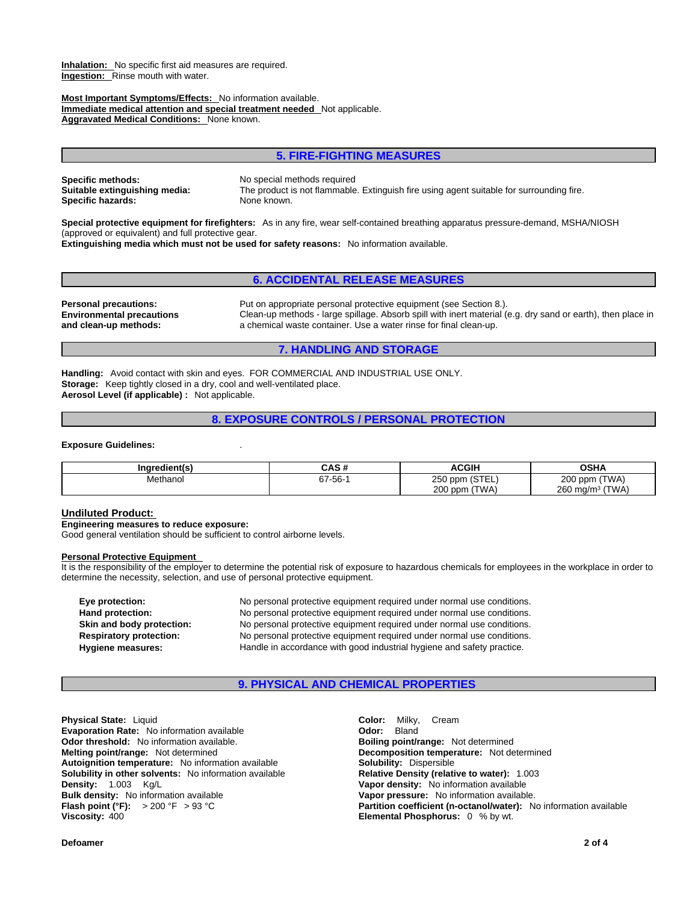**Inhalation:** No specific first aid measures are required. **Ingestion:** Rinse mouth with water.

**Most Important Symptoms/Effects:** No information available. **Immediate medical attention and special treatment needed** Not applicable. **Aggravated Medical Conditions:** None known.

## **5. FIRE-FIGHTING MEASURES**

**Specific methods:** No special methods required<br> **Suitable extinguishing media:** The product is not flammable **Specific hazards:** 

The product is not flammable. Extinguish fire using agent suitable for surrounding fire.<br>None known.

**Special protective equipment for firefighters:** As in any fire, wear self-contained breathing apparatus pressure-demand, MSHA/NIOSH (approved or equivalent) and full protective gear.

**Extinguishing media which must not be used for safety reasons:** No information available.

## **6. ACCIDENTAL RELEASE MEASURES**

**Environmental precautions and clean-up methods:** 

**Personal precautions:** Put on appropriate personal protective equipment (see Section 8.). Clean-up methods - large spillage. Absorb spill with inert material (e.g. dry sand or earth), then place in a chemical waste container. Use a water rinse for final clean-up.

### **7. HANDLING AND STORAGE**

**Handling:** Avoid contact with skin and eyes. FOR COMMERCIAL AND INDUSTRIAL USE ONLY. **Storage:** Keep tightly closed in a dry, cool and well-ventilated place. **Aerosol Level (if applicable) :** Not applicable.

**8. EXPOSURE CONTROLS / PERSONAL PROTECTION**

#### **Exposure Guidelines:** .

| Inaredient(s) | CAS #   | <b>ACGIH</b>       | <b>OSHA</b>                 |
|---------------|---------|--------------------|-----------------------------|
| Methanol      | 67-56-1 | 250 ppm (STEL)     | 200 ppm (TWA)               |
|               |         | 200 ppm (<br>(TWA) | 260 mg/m <sup>3</sup> (TWA) |

#### **Undiluted Product:**

**Engineering measures to reduce exposure:**

Good general ventilation should be sufficient to control airborne levels.

#### **Personal Protective Equipment**

It is the responsibility of the employer to determine the potential risk of exposure to hazardous chemicals for employees in the workplace in order to determine the necessity, selection, and use of personal protective equipment.

**Eye protection:** No personal protective equipment required under normal use conditions. Hand protection: **No personal protective equipment required under normal use conditions. Skin and body protection:** No personal protective equipment required under normal use conditions. **Respiratory protection:** No personal protective equipment required under normal use conditions. **Hygiene measures:** Handle in accordance with good industrial hygiene and safety practice.

## **9. PHYSICAL AND CHEMICAL PROPERTIES**

**Physical State:** Liquid **Color:** Milky, Cream **Evaporation Rate:** No information available **Configuration Codor:** Bland **Odor:** Bland **Odor: Details Odor: Odor: Details Configuration Odor: Configuration Configuration Configuration Configuration C Odor threshold:** No information available.<br>**Melting point/range:** Not determined **Autoignition temperature:** No information available **Solubility:** Dispersible **Solubility in other solvents: No information available Density:** 1.003 Kg/L **Vapor density:** No information available **Bulk density:** No information available.<br> **Bulk density:** No information available. **Vapor pressure:** No information available. **Bulk density:** No information available<br>**Flash point (°F):** > 200 °F > 93 °C

**Decomposition temperature:** Not determined **Flash point (°F):**  $\rightarrow$  200 °F  $\rightarrow$  93 °C **Partition coefficient (n-octanol/water):** No information available **Viscosity:** 400 **Elemental Phosphorus:** 0 % by wt.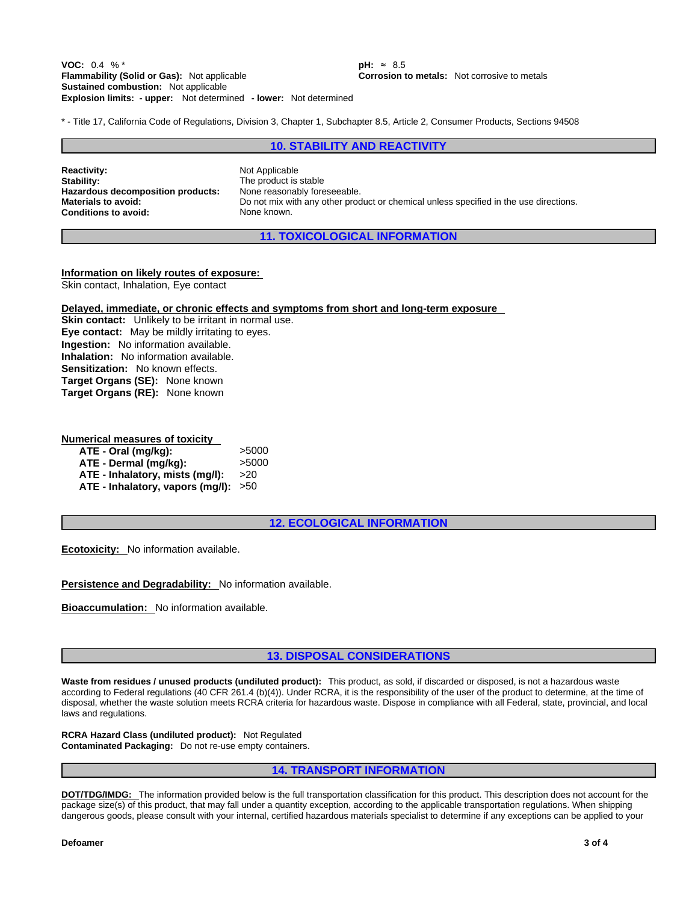**Explosion limits: - upper:** Not determined **- lower:** Not determined **VOC:** 0.4 % <sup>\*</sup> **pH:** ≈ 8.5<br>**Flammability (Solid or Gas):** Not applicable **the Corroson of Corrosion to the Corrosion of Sustained combustion:** Not applicable

**Corrosion to metals:** Not corrosive to metals

\* - Title 17, California Code of Regulations, Division 3, Chapter 1, Subchapter 8.5, Article 2, Consumer Products, Sections 94508

## **10. STABILITY AND REACTIVITY**

**Reactivity:** Not Applicable Stability: Not Applicable Stability: **Hazardous decomposition products:**<br>Materials to avoid: **Conditions to avoid:** None known.

The product is stable<br>None reasonably foreseeable. **Materials to avoid:** Do not mix with any other product or chemical unless specified in the use directions.

**11. TOXICOLOGICAL INFORMATION**

#### **Information on likely routes of exposure:**

Skin contact, Inhalation, Eye contact

**Delayed, immediate, or chronic effects and symptoms from short and long-term exposure**

**Skin contact:** Unlikely to be irritant in normal use. **Eye contact:** May be mildly irritating to eyes. **Ingestion:** No information available. **Inhalation:** No information available. **Sensitization:** No known effects. **Target Organs (SE):** None known **Target Organs (RE):** None known

#### **Numerical measures of toxicity**

| ATE - Oral (mg/kg):                  | >5000         |
|--------------------------------------|---------------|
| ATE - Dermal (mq/kq):                | >5000         |
| ATE - Inhalatory, mists (mg/l):      | <b>&gt;20</b> |
| ATE - Inhalatory, vapors (mg/l): >50 |               |

**12. ECOLOGICAL INFORMATION**

**Ecotoxicity:** No information available.

**Persistence and Degradability:** No information available.

**Bioaccumulation:** No information available.

## **13. DISPOSAL CONSIDERATIONS**

**Waste from residues / unused products (undiluted product):** This product, as sold, if discarded or disposed, is not a hazardous waste according to Federal regulations (40 CFR 261.4 (b)(4)). Under RCRA, it is the responsibility of the user of the product to determine, at the time of disposal, whether the waste solution meets RCRA criteria for hazardous waste. Dispose in compliance with all Federal, state, provincial, and local laws and regulations.

**RCRA Hazard Class (undiluted product):** Not Regulated **Contaminated Packaging:** Do not re-use empty containers.

### **14. TRANSPORT INFORMATION**

**DOT/TDG/IMDG:** The information provided below is the full transportation classification for this product. This description does not account for the package size(s) of this product, that may fall under a quantity exception, according to the applicable transportation regulations. When shipping dangerous goods, please consult with your internal, certified hazardous materials specialist to determine if any exceptions can be applied to your